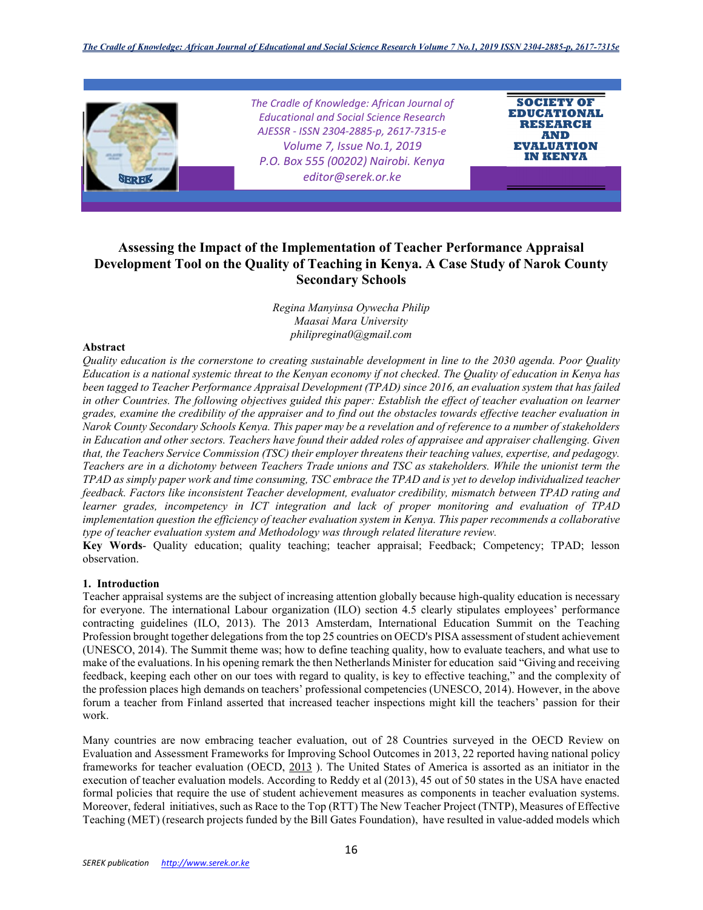

# **Assessing the Impact of the Implementation of Teacher Performance Appraisal Development Tool on the Quality of Teaching in Kenya. A Case Study of Narok County Secondary Schools**

*Regina Manyinsa Oywecha Philip Maasai Mara University philipregina0@gmail.com* 

#### **Abstract**

*Quality education is the cornerstone to creating sustainable development in line to the 2030 agenda. Poor Quality Education is a national systemic threat to the Kenyan economy if not checked. The Quality of education in Kenya has been tagged to Teacher Performance Appraisal Development (TPAD) since 2016, an evaluation system that has failed in other Countries. The following objectives guided this paper: Establish the effect of teacher evaluation on learner grades, examine the credibility of the appraiser and to find out the obstacles towards effective teacher evaluation in Narok County Secondary Schools Kenya. This paper may be a revelation and of reference to a number of stakeholders in Education and other sectors. Teachers have found their added roles of appraisee and appraiser challenging. Given that, the Teachers Service Commission (TSC) their employer threatens their teaching values, expertise, and pedagogy. Teachers are in a dichotomy between Teachers Trade unions and TSC as stakeholders. While the unionist term the TPAD as simply paper work and time consuming, TSC embrace the TPAD and is yet to develop individualized teacher feedback. Factors like inconsistent Teacher development, evaluator credibility, mismatch between TPAD rating and learner grades, incompetency in ICT integration and lack of proper monitoring and evaluation of TPAD implementation question the efficiency of teacher evaluation system in Kenya. This paper recommends a collaborative type of teacher evaluation system and Methodology was through related literature review.* 

**Key Words**- Quality education; quality teaching; teacher appraisal; Feedback; Competency; TPAD; lesson observation.

#### **1. Introduction**

Teacher appraisal systems are the subject of increasing attention globally because high-quality education is necessary for everyone. The international Labour organization (ILO) section 4.5 clearly stipulates employees' performance contracting guidelines (ILO, 2013). The 2013 Amsterdam, International Education Summit on the Teaching Profession brought together delegations from the top 25 countries on OECD's PISA assessment of student achievement (UNESCO, 2014). The Summit theme was; how to define teaching quality, how to evaluate teachers, and what use to make of the evaluations. In his opening remark the then Netherlands Minister for education said "Giving and receiving feedback, keeping each other on our toes with regard to quality, is key to effective teaching," and the complexity of the profession places high demands on teachers' professional competencies (UNESCO, 2014). However, in the above forum a teacher from Finland asserted that increased teacher inspections might kill the teachers' passion for their work.

Many countries are now embracing teacher evaluation, out of 28 Countries surveyed in the OECD Review on Evaluation and Assessment Frameworks for Improving School Outcomes in 2013, 22 reported having national policy frameworks for teacher evaluation (OECD, 2013 ). The United States of America is assorted as an initiator in the execution of teacher evaluation models. According to Reddy et al (2013), 45 out of 50 states in the USA have enacted formal policies that require the use of student achievement measures as components in teacher evaluation systems. Moreover, federal initiatives, such as Race to the Top (RTT) The New Teacher Project (TNTP), Measures of Effective Teaching (MET) (research projects funded by the Bill Gates Foundation), have resulted in value-added models which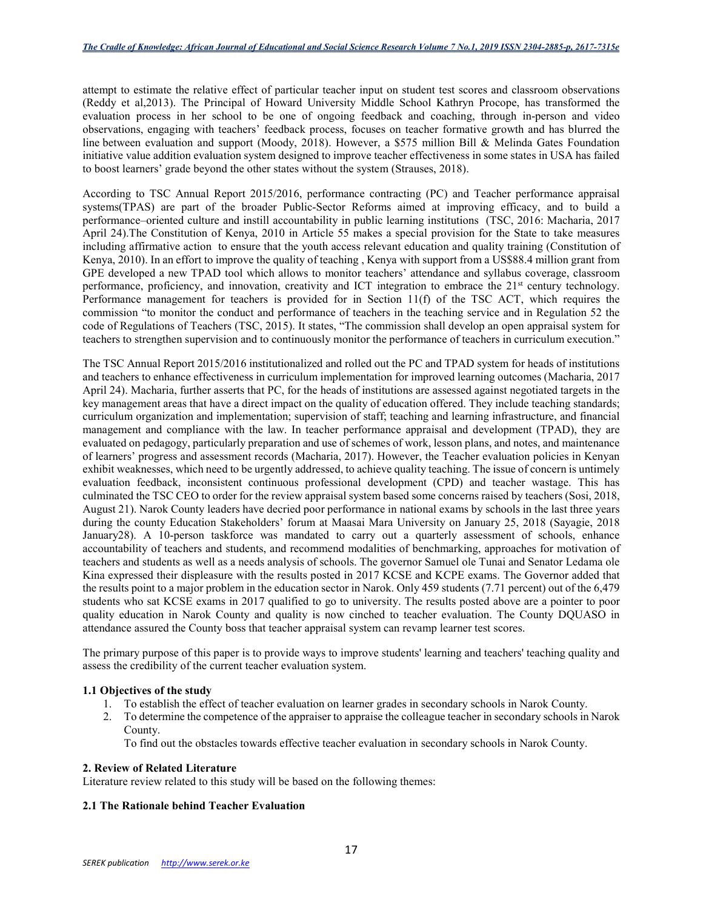attempt to estimate the relative effect of particular teacher input on student test scores and classroom observations (Reddy et al,2013). The Principal of Howard University Middle School Kathryn Procope, has transformed the evaluation process in her school to be one of ongoing feedback and coaching, through in-person and video observations, engaging with teachers' feedback process, focuses on teacher formative growth and has blurred the line between evaluation and support (Moody, 2018). However, a \$575 million Bill & Melinda Gates Foundation initiative value addition evaluation system designed to improve teacher effectiveness in some states in USA has failed to boost learners' grade beyond the other states without the system (Strauses, 2018).

According to TSC Annual Report 2015/2016, performance contracting (PC) and Teacher performance appraisal systems(TPAS) are part of the broader Public-Sector Reforms aimed at improving efficacy, and to build a performance–oriented culture and instill accountability in public learning institutions (TSC, 2016: Macharia, 2017 April 24).The Constitution of Kenya, 2010 in Article 55 makes a special provision for the State to take measures including affirmative action to ensure that the youth access relevant education and quality training (Constitution of Kenya, 2010). In an effort to improve the quality of teaching , Kenya with support from a US\$88.4 million grant from GPE developed a new TPAD tool which allows to monitor teachers' attendance and syllabus coverage, classroom performance, proficiency, and innovation, creativity and ICT integration to embrace the  $21<sup>st</sup>$  century technology. Performance management for teachers is provided for in Section 11(f) of the TSC ACT, which requires the commission "to monitor the conduct and performance of teachers in the teaching service and in Regulation 52 the code of Regulations of Teachers (TSC, 2015). It states, "The commission shall develop an open appraisal system for teachers to strengthen supervision and to continuously monitor the performance of teachers in curriculum execution."

The TSC Annual Report 2015/2016 institutionalized and rolled out the PC and TPAD system for heads of institutions and teachers to enhance effectiveness in curriculum implementation for improved learning outcomes (Macharia, 2017 April 24). Macharia, further asserts that PC, for the heads of institutions are assessed against negotiated targets in the key management areas that have a direct impact on the quality of education offered. They include teaching standards; curriculum organization and implementation; supervision of staff; teaching and learning infrastructure, and financial management and compliance with the law. In teacher performance appraisal and development (TPAD), they are evaluated on pedagogy, particularly preparation and use of schemes of work, lesson plans, and notes, and maintenance of learners' progress and assessment records (Macharia, 2017). However, the Teacher evaluation policies in Kenyan exhibit weaknesses, which need to be urgently addressed, to achieve quality teaching. The issue of concern is untimely evaluation feedback, inconsistent continuous professional development (CPD) and teacher wastage. This has culminated the TSC CEO to order for the review appraisal system based some concerns raised by teachers (Sosi, 2018, August 21). Narok County leaders have decried poor performance in national exams by schools in the last three years during the county Education Stakeholders' forum at Maasai Mara University on January 25, 2018 (Sayagie, 2018 January28). A 10-person taskforce was mandated to carry out a quarterly assessment of schools, enhance accountability of teachers and students, and recommend modalities of benchmarking, approaches for motivation of teachers and students as well as a needs analysis of schools. The governor Samuel ole Tunai and Senator Ledama ole Kina expressed their displeasure with the results posted in 2017 KCSE and KCPE exams. The Governor added that the results point to a major problem in the education sector in Narok. Only 459 students (7.71 percent) out of the 6,479 students who sat KCSE exams in 2017 qualified to go to university. The results posted above are a pointer to poor quality education in Narok County and quality is now cinched to teacher evaluation. The County DQUASO in attendance assured the County boss that teacher appraisal system can revamp learner test scores.

The primary purpose of this paper is to provide ways to improve students' learning and teachers' teaching quality and assess the credibility of the current teacher evaluation system.

# **1.1 Objectives of the study**

- 1. To establish the effect of teacher evaluation on learner grades in secondary schools in Narok County.
- 2. To determine the competence of the appraiser to appraise the colleague teacher in secondary schools in Narok County.

To find out the obstacles towards effective teacher evaluation in secondary schools in Narok County.

# **2. Review of Related Literature**

Literature review related to this study will be based on the following themes:

# **2.1 The Rationale behind Teacher Evaluation**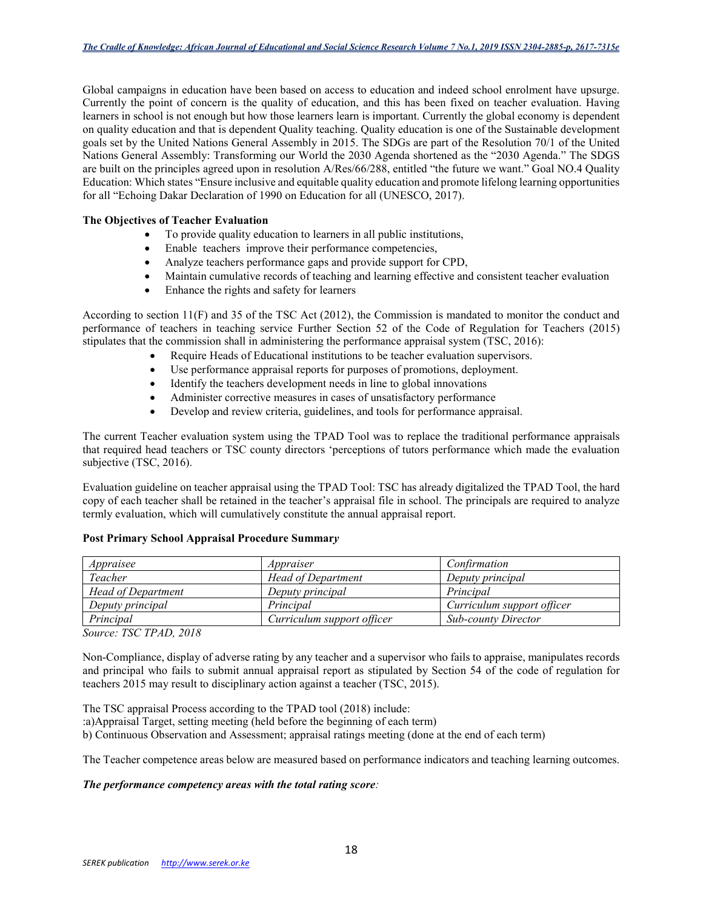Global campaigns in education have been based on access to education and indeed school enrolment have upsurge. Currently the point of concern is the quality of education, and this has been fixed on teacher evaluation. Having learners in school is not enough but how those learners learn is important. Currently the global economy is dependent on quality education and that is dependent Quality teaching. Quality education is one of the Sustainable development goals set by the United Nations General Assembly in 2015. The SDGs are part of the Resolution 70/1 of the United Nations General Assembly: Transforming our World the 2030 Agenda shortened as the "2030 Agenda." The SDGS are built on the principles agreed upon in resolution A/Res/66/288, entitled "the future we want." Goal NO.4 Quality Education: Which states "Ensure inclusive and equitable quality education and promote lifelong learning opportunities for all "Echoing Dakar Declaration of 1990 on Education for all (UNESCO, 2017).

# **The Objectives of Teacher Evaluation**

- To provide quality education to learners in all public institutions,
- Enable teachers improve their performance competencies,
- Analyze teachers performance gaps and provide support for CPD,
- Maintain cumulative records of teaching and learning effective and consistent teacher evaluation
- Enhance the rights and safety for learners

According to section 11(F) and 35 of the TSC Act (2012), the Commission is mandated to monitor the conduct and performance of teachers in teaching service Further Section 52 of the Code of Regulation for Teachers (2015) stipulates that the commission shall in administering the performance appraisal system (TSC, 2016):

- Require Heads of Educational institutions to be teacher evaluation supervisors.
- Use performance appraisal reports for purposes of promotions, deployment.
- Identify the teachers development needs in line to global innovations
- Administer corrective measures in cases of unsatisfactory performance
- Develop and review criteria, guidelines, and tools for performance appraisal.

The current Teacher evaluation system using the TPAD Tool was to replace the traditional performance appraisals that required head teachers or TSC county directors 'perceptions of tutors performance which made the evaluation subjective (TSC, 2016).

Evaluation guideline on teacher appraisal using the TPAD Tool: TSC has already digitalized the TPAD Tool, the hard copy of each teacher shall be retained in the teacher's appraisal file in school. The principals are required to analyze termly evaluation, which will cumulatively constitute the annual appraisal report.

| Appraisee                 | Appraiser                  | Confirmation               |
|---------------------------|----------------------------|----------------------------|
| Teacher                   | <b>Head of Department</b>  | Deputy principal           |
| <b>Head of Department</b> | Deputy principal           | Principal                  |
| Deputy principal          | Principal                  | Curriculum support officer |
| Principal                 | Curriculum support officer | <b>Sub-county Director</b> |

# **Post Primary School Appraisal Procedure Summar***y*

*Source: TSC TPAD, 2018* 

Non-Compliance, display of adverse rating by any teacher and a supervisor who fails to appraise, manipulates records and principal who fails to submit annual appraisal report as stipulated by Section 54 of the code of regulation for teachers 2015 may result to disciplinary action against a teacher (TSC, 2015).

The TSC appraisal Process according to the TPAD tool (2018) include:

:a)Appraisal Target, setting meeting (held before the beginning of each term)

b) Continuous Observation and Assessment; appraisal ratings meeting (done at the end of each term)

The Teacher competence areas below are measured based on performance indicators and teaching learning outcomes.

# *The performance competency areas with the total rating score:*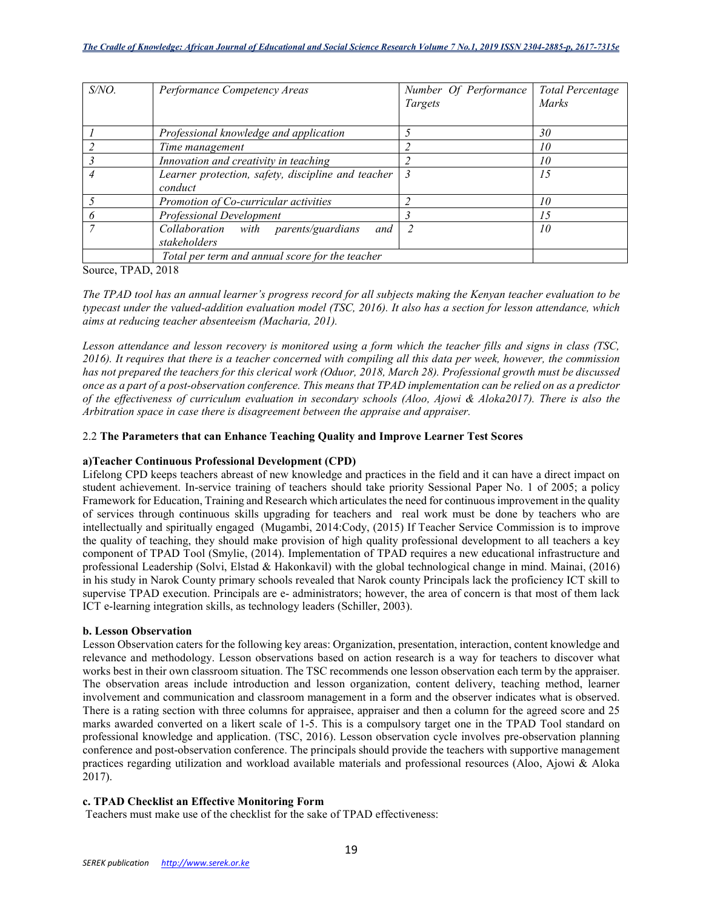| $S/NO$ . | Performance Competency Areas                       | Number Of Performance | <b>Total Percentage</b> |
|----------|----------------------------------------------------|-----------------------|-------------------------|
|          |                                                    | Targets               | Marks                   |
|          |                                                    |                       |                         |
|          | Professional knowledge and application             |                       | 30                      |
|          | Time management                                    |                       | 10                      |
|          | Innovation and creativity in teaching              |                       | 10                      |
|          | Learner protection, safety, discipline and teacher | $\overline{3}$        | 15                      |
|          | conduct                                            |                       |                         |
|          | Promotion of Co-curricular activities              |                       | 10                      |
|          | <b>Professional Development</b>                    |                       | 15                      |
|          | Collaboration with parents/guardians<br>and        |                       | 10                      |
|          | stakeholders                                       |                       |                         |
|          | Total per term and annual score for the teacher    |                       |                         |

Source, TPAD, 2018

*The TPAD tool has an annual learner's progress record for all subjects making the Kenyan teacher evaluation to be typecast under the valued-addition evaluation model (TSC, 2016). It also has a section for lesson attendance, which aims at reducing teacher absenteeism (Macharia, 201).* 

*Lesson attendance and lesson recovery is monitored using a form which the teacher fills and signs in class (TSC, 2016). It requires that there is a teacher concerned with compiling all this data per week, however, the commission has not prepared the teachers for this clerical work (Oduor, 2018, March 28). Professional growth must be discussed once as a part of a post-observation conference. This means that TPAD implementation can be relied on as a predictor of the effectiveness of curriculum evaluation in secondary schools (Aloo, Ajowi & Aloka2017). There is also the Arbitration space in case there is disagreement between the appraise and appraiser.* 

# 2.2 **The Parameters that can Enhance Teaching Quality and Improve Learner Test Scores**

# **a)Teacher Continuous Professional Development (CPD)**

Lifelong CPD keeps teachers abreast of new knowledge and practices in the field and it can have a direct impact on student achievement. In-service training of teachers should take priority Sessional Paper No. 1 of 2005; a policy Framework for Education, Training and Research which articulates the need for continuous improvement in the quality of services through continuous skills upgrading for teachers and real work must be done by teachers who are intellectually and spiritually engaged (Mugambi, 2014:Cody, (2015) If Teacher Service Commission is to improve the quality of teaching, they should make provision of high quality professional development to all teachers a key component of TPAD Tool (Smylie, (2014). Implementation of TPAD requires a new educational infrastructure and professional Leadership (Solvi, Elstad & Hakonkavil) with the global technological change in mind. Mainai, (2016) in his study in Narok County primary schools revealed that Narok county Principals lack the proficiency ICT skill to supervise TPAD execution. Principals are e- administrators; however, the area of concern is that most of them lack ICT e-learning integration skills, as technology leaders (Schiller, 2003).

# **b. Lesson Observation**

Lesson Observation caters for the following key areas: Organization, presentation, interaction, content knowledge and relevance and methodology. Lesson observations based on action research is a way for teachers to discover what works best in their own classroom situation. The TSC recommends one lesson observation each term by the appraiser. The observation areas include introduction and lesson organization, content delivery, teaching method, learner involvement and communication and classroom management in a form and the observer indicates what is observed. There is a rating section with three columns for appraisee, appraiser and then a column for the agreed score and 25 marks awarded converted on a likert scale of 1-5. This is a compulsory target one in the TPAD Tool standard on professional knowledge and application. (TSC, 2016). Lesson observation cycle involves pre-observation planning conference and post-observation conference. The principals should provide the teachers with supportive management practices regarding utilization and workload available materials and professional resources (Aloo, Ajowi & Aloka 2017).

# **c. TPAD Checklist an Effective Monitoring Form**

Teachers must make use of the checklist for the sake of TPAD effectiveness: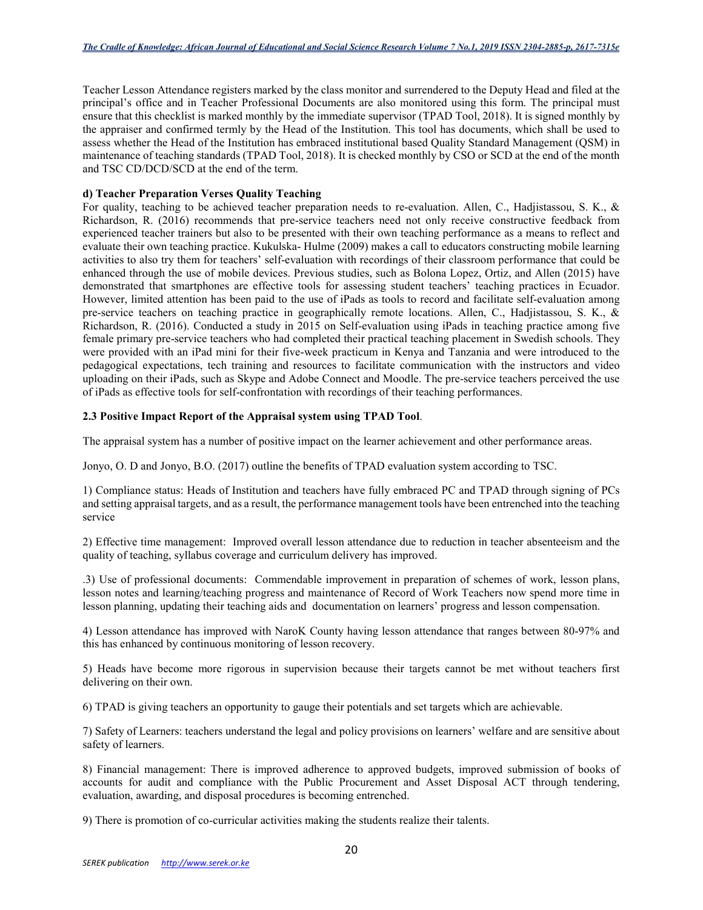Teacher Lesson Attendance registers marked by the class monitor and surrendered to the Deputy Head and filed at the principal's office and in Teacher Professional Documents are also monitored using this form. The principal must ensure that this checklist is marked monthly by the immediate supervisor (TPAD Tool, 2018). It is signed monthly by the appraiser and confirmed termly by the Head of the Institution. This tool has documents, which shall be used to assess whether the Head of the Institution has embraced institutional based Quality Standard Management (QSM) in maintenance of teaching standards (TPAD Tool, 2018). It is checked monthly by CSO or SCD at the end of the month and TSC CD/DCD/SCD at the end of the term.

### **d) Teacher Preparation Verses Quality Teaching**

For quality, teaching to be achieved teacher preparation needs to re-evaluation. Allen, C., Hadjistassou, S. K., & Richardson, R. (2016) recommends that pre-service teachers need not only receive constructive feedback from experienced teacher trainers but also to be presented with their own teaching performance as a means to reflect and evaluate their own teaching practice. Kukulska- Hulme (2009) makes a call to educators constructing mobile learning activities to also try them for teachers' self-evaluation with recordings of their classroom performance that could be enhanced through the use of mobile devices. Previous studies, such as Bolona Lopez, Ortiz, and Allen (2015) have demonstrated that smartphones are effective tools for assessing student teachers' teaching practices in Ecuador. However, limited attention has been paid to the use of iPads as tools to record and facilitate self-evaluation among pre-service teachers on teaching practice in geographically remote locations. Allen, C., Hadjistassou, S. K., & Richardson, R. (2016). Conducted a study in 2015 on Self-evaluation using iPads in teaching practice among five female primary pre-service teachers who had completed their practical teaching placement in Swedish schools. They were provided with an iPad mini for their five-week practicum in Kenya and Tanzania and were introduced to the pedagogical expectations, tech training and resources to facilitate communication with the instructors and video uploading on their iPads, such as Skype and Adobe Connect and Moodle. The pre-service teachers perceived the use of iPads as effective tools for self-confrontation with recordings of their teaching performances.

### **2.3 Positive Impact Report of the Appraisal system using TPAD Tool**.

The appraisal system has a number of positive impact on the learner achievement and other performance areas.

Jonyo, O. D and Jonyo, B.O. (2017) outline the benefits of TPAD evaluation system according to TSC.

1) Compliance status: Heads of Institution and teachers have fully embraced PC and TPAD through signing of PCs and setting appraisal targets, and as a result, the performance management tools have been entrenched into the teaching service

2) Effective time management: Improved overall lesson attendance due to reduction in teacher absenteeism and the quality of teaching, syllabus coverage and curriculum delivery has improved.

.3) Use of professional documents: Commendable improvement in preparation of schemes of work, lesson plans, lesson notes and learning/teaching progress and maintenance of Record of Work Teachers now spend more time in lesson planning, updating their teaching aids and documentation on learners' progress and lesson compensation.

4) Lesson attendance has improved with NaroK County having lesson attendance that ranges between 80-97% and this has enhanced by continuous monitoring of lesson recovery.

5) Heads have become more rigorous in supervision because their targets cannot be met without teachers first delivering on their own.

6) TPAD is giving teachers an opportunity to gauge their potentials and set targets which are achievable.

7) Safety of Learners: teachers understand the legal and policy provisions on learners' welfare and are sensitive about safety of learners.

8) Financial management: There is improved adherence to approved budgets, improved submission of books of accounts for audit and compliance with the Public Procurement and Asset Disposal ACT through tendering, evaluation, awarding, and disposal procedures is becoming entrenched.

9) There is promotion of co-curricular activities making the students realize their talents.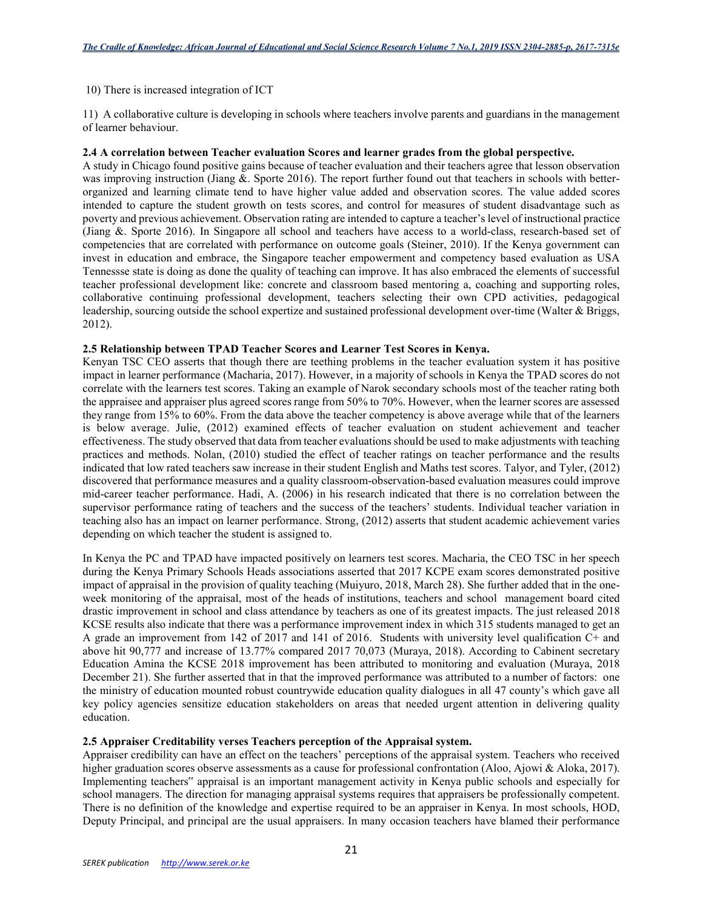### 10) There is increased integration of ICT

11) A collaborative culture is developing in schools where teachers involve parents and guardians in the management of learner behaviour.

### **2.4 A correlation between Teacher evaluation Scores and learner grades from the global perspective.**

A study in Chicago found positive gains because of teacher evaluation and their teachers agree that lesson observation was improving instruction (Jiang &. Sporte 2016). The report further found out that teachers in schools with betterorganized and learning climate tend to have higher value added and observation scores. The value added scores intended to capture the student growth on tests scores, and control for measures of student disadvantage such as poverty and previous achievement. Observation rating are intended to capture a teacher's level of instructional practice (Jiang &. Sporte 2016). In Singapore all school and teachers have access to a world-class, research-based set of competencies that are correlated with performance on outcome goals (Steiner, 2010). If the Kenya government can invest in education and embrace, the Singapore teacher empowerment and competency based evaluation as USA Tennessse state is doing as done the quality of teaching can improve. It has also embraced the elements of successful teacher professional development like: concrete and classroom based mentoring a, coaching and supporting roles, collaborative continuing professional development, teachers selecting their own CPD activities, pedagogical leadership, sourcing outside the school expertize and sustained professional development over-time (Walter & Briggs, 2012).

#### **2.5 Relationship between TPAD Teacher Scores and Learner Test Scores in Kenya.**

Kenyan TSC CEO asserts that though there are teething problems in the teacher evaluation system it has positive impact in learner performance (Macharia, 2017). However, in a majority of schools in Kenya the TPAD scores do not correlate with the learners test scores. Taking an example of Narok secondary schools most of the teacher rating both the appraisee and appraiser plus agreed scores range from 50% to 70%. However, when the learner scores are assessed they range from 15% to 60%. From the data above the teacher competency is above average while that of the learners is below average. Julie, (2012) examined effects of teacher evaluation on student achievement and teacher effectiveness. The study observed that data from teacher evaluations should be used to make adjustments with teaching practices and methods. Nolan, (2010) studied the effect of teacher ratings on teacher performance and the results indicated that low rated teachers saw increase in their student English and Maths test scores. Talyor, and Tyler, (2012) discovered that performance measures and a quality classroom-observation-based evaluation measures could improve mid-career teacher performance. Hadi, A. (2006) in his research indicated that there is no correlation between the supervisor performance rating of teachers and the success of the teachers' students. Individual teacher variation in teaching also has an impact on learner performance. Strong, (2012) asserts that student academic achievement varies depending on which teacher the student is assigned to.

In Kenya the PC and TPAD have impacted positively on learners test scores. Macharia, the CEO TSC in her speech during the Kenya Primary Schools Heads associations asserted that 2017 KCPE exam scores demonstrated positive impact of appraisal in the provision of quality teaching (Muiyuro, 2018, March 28). She further added that in the oneweek monitoring of the appraisal, most of the heads of institutions, teachers and school management board cited drastic improvement in school and class attendance by teachers as one of its greatest impacts. The just released 2018 KCSE results also indicate that there was a performance improvement index in which 315 students managed to get an A grade an improvement from 142 of 2017 and 141 of 2016. Students with university level qualification C+ and above hit 90,777 and increase of 13.77% compared 2017 70,073 (Muraya, 2018). According to Cabinent secretary Education Amina the KCSE 2018 improvement has been attributed to monitoring and evaluation (Muraya, 2018 December 21). She further asserted that in that the improved performance was attributed to a number of factors: one the ministry of education mounted robust countrywide education quality dialogues in all 47 county's which gave all key policy agencies sensitize education stakeholders on areas that needed urgent attention in delivering quality education.

#### **2.5 Appraiser Creditability verses Teachers perception of the Appraisal system.**

Appraiser credibility can have an effect on the teachers' perceptions of the appraisal system. Teachers who received higher graduation scores observe assessments as a cause for professional confrontation (Aloo, Ajowi & Aloka, 2017). Implementing teachers" appraisal is an important management activity in Kenya public schools and especially for school managers. The direction for managing appraisal systems requires that appraisers be professionally competent. There is no definition of the knowledge and expertise required to be an appraiser in Kenya. In most schools, HOD, Deputy Principal, and principal are the usual appraisers. In many occasion teachers have blamed their performance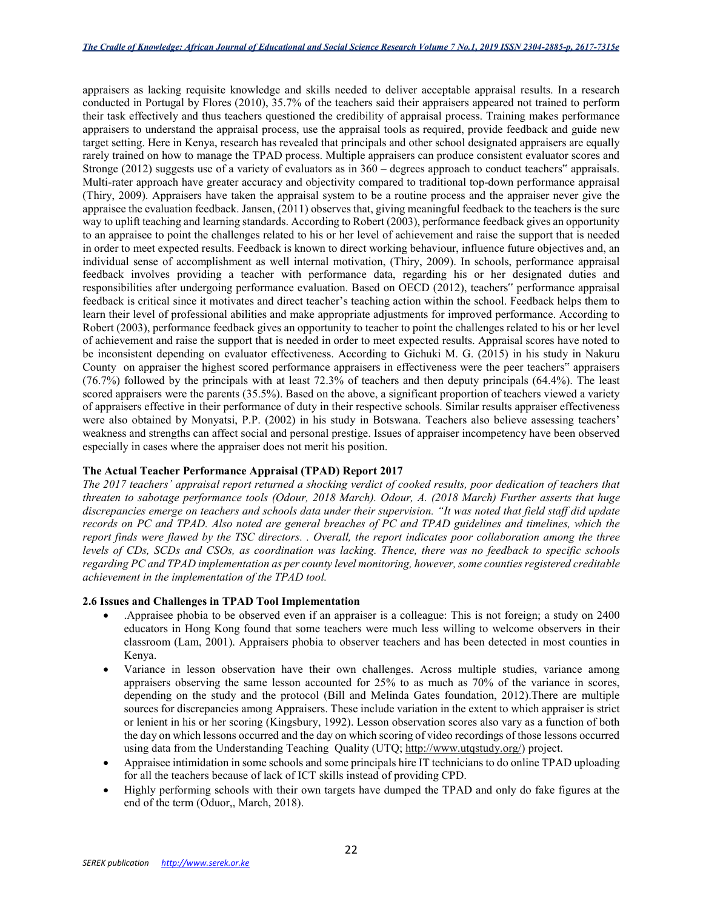appraisers as lacking requisite knowledge and skills needed to deliver acceptable appraisal results. In a research conducted in Portugal by Flores (2010), 35.7% of the teachers said their appraisers appeared not trained to perform their task effectively and thus teachers questioned the credibility of appraisal process. Training makes performance appraisers to understand the appraisal process, use the appraisal tools as required, provide feedback and guide new target setting. Here in Kenya, research has revealed that principals and other school designated appraisers are equally rarely trained on how to manage the TPAD process. Multiple appraisers can produce consistent evaluator scores and Stronge (2012) suggests use of a variety of evaluators as in 360 – degrees approach to conduct teachers" appraisals. Multi-rater approach have greater accuracy and objectivity compared to traditional top-down performance appraisal (Thiry, 2009). Appraisers have taken the appraisal system to be a routine process and the appraiser never give the appraisee the evaluation feedback. Jansen, (2011) observes that, giving meaningful feedback to the teachers is the sure way to uplift teaching and learning standards. According to Robert (2003), performance feedback gives an opportunity to an appraisee to point the challenges related to his or her level of achievement and raise the support that is needed in order to meet expected results. Feedback is known to direct working behaviour, influence future objectives and, an individual sense of accomplishment as well internal motivation, (Thiry, 2009). In schools, performance appraisal feedback involves providing a teacher with performance data, regarding his or her designated duties and responsibilities after undergoing performance evaluation. Based on OECD (2012), teachers" performance appraisal feedback is critical since it motivates and direct teacher's teaching action within the school. Feedback helps them to learn their level of professional abilities and make appropriate adjustments for improved performance. According to Robert (2003), performance feedback gives an opportunity to teacher to point the challenges related to his or her level of achievement and raise the support that is needed in order to meet expected results. Appraisal scores have noted to be inconsistent depending on evaluator effectiveness. According to Gichuki M. G. (2015) in his study in Nakuru County on appraiser the highest scored performance appraisers in effectiveness were the peer teachers" appraisers (76.7%) followed by the principals with at least 72.3% of teachers and then deputy principals (64.4%). The least scored appraisers were the parents (35.5%). Based on the above, a significant proportion of teachers viewed a variety of appraisers effective in their performance of duty in their respective schools. Similar results appraiser effectiveness were also obtained by Monyatsi, P.P. (2002) in his study in Botswana. Teachers also believe assessing teachers' weakness and strengths can affect social and personal prestige. Issues of appraiser incompetency have been observed especially in cases where the appraiser does not merit his position.

#### **The Actual Teacher Performance Appraisal (TPAD) Report 2017**

*The 2017 teachers' appraisal report returned a shocking verdict of cooked results, poor dedication of teachers that threaten to sabotage performance tools (Odour, 2018 March). Odour, A. (2018 March) Further asserts that huge discrepancies emerge on teachers and schools data under their supervision. "It was noted that field staff did update records on PC and TPAD. Also noted are general breaches of PC and TPAD guidelines and timelines, which the report finds were flawed by the TSC directors. . Overall, the report indicates poor collaboration among the three levels of CDs, SCDs and CSOs, as coordination was lacking. Thence, there was no feedback to specific schools regarding PC and TPAD implementation as per county level monitoring, however, some counties registered creditable achievement in the implementation of the TPAD tool.*

### **2.6 Issues and Challenges in TPAD Tool Implementation**

- .Appraisee phobia to be observed even if an appraiser is a colleague: This is not foreign; a study on 2400 educators in Hong Kong found that some teachers were much less willing to welcome observers in their classroom (Lam, 2001). Appraisers phobia to observer teachers and has been detected in most counties in Kenya.
- Variance in lesson observation have their own challenges. Across multiple studies, variance among appraisers observing the same lesson accounted for 25% to as much as 70% of the variance in scores, depending on the study and the protocol (Bill and Melinda Gates foundation, 2012).There are multiple sources for discrepancies among Appraisers. These include variation in the extent to which appraiser is strict or lenient in his or her scoring (Kingsbury, 1992). Lesson observation scores also vary as a function of both the day on which lessons occurred and the day on which scoring of video recordings of those lessons occurred using data from the Understanding Teaching Quality (UTQ; http://www.utqstudy.org/) project.
- Appraisee intimidation in some schools and some principals hire IT technicians to do online TPAD uploading for all the teachers because of lack of ICT skills instead of providing CPD.
- Highly performing schools with their own targets have dumped the TPAD and only do fake figures at the end of the term (Oduor,, March, 2018).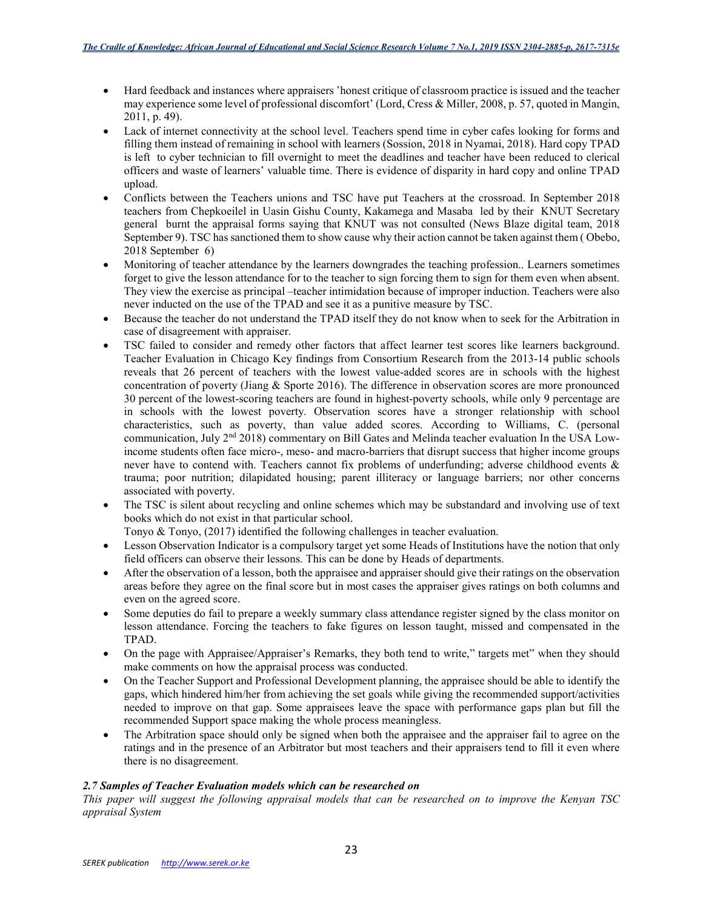- Hard feedback and instances where appraisers 'honest critique of classroom practice is issued and the teacher may experience some level of professional discomfort' (Lord, Cress & Miller, 2008, p. 57, quoted in Mangin, 2011, p. 49).
- Lack of internet connectivity at the school level. Teachers spend time in cyber cafes looking for forms and filling them instead of remaining in school with learners (Sossion, 2018 in Nyamai, 2018). Hard copy TPAD is left to cyber technician to fill overnight to meet the deadlines and teacher have been reduced to clerical officers and waste of learners' valuable time. There is evidence of disparity in hard copy and online TPAD upload.
- Conflicts between the Teachers unions and TSC have put Teachers at the crossroad. In September 2018 teachers from Chepkoeilel in Uasin Gishu County, Kakamega and Masaba led by their KNUT Secretary general burnt the appraisal forms saying that KNUT was not consulted (News Blaze digital team, 2018 September 9). TSC has sanctioned them to show cause why their action cannot be taken against them ( Obebo, 2018 September 6)
- Monitoring of teacher attendance by the learners downgrades the teaching profession.. Learners sometimes forget to give the lesson attendance for to the teacher to sign forcing them to sign for them even when absent. They view the exercise as principal –teacher intimidation because of improper induction. Teachers were also never inducted on the use of the TPAD and see it as a punitive measure by TSC.
- Because the teacher do not understand the TPAD itself they do not know when to seek for the Arbitration in case of disagreement with appraiser.
- TSC failed to consider and remedy other factors that affect learner test scores like learners background. Teacher Evaluation in Chicago Key findings from Consortium Research from the 2013-14 public schools reveals that 26 percent of teachers with the lowest value-added scores are in schools with the highest concentration of poverty (Jiang & Sporte 2016). The difference in observation scores are more pronounced 30 percent of the lowest-scoring teachers are found in highest-poverty schools, while only 9 percentage are in schools with the lowest poverty. Observation scores have a stronger relationship with school characteristics, such as poverty, than value added scores. According to Williams, C. (personal communication, July 2<sup>nd</sup> 2018) commentary on Bill Gates and Melinda teacher evaluation In the USA Lowincome students often face micro-, meso- and macro-barriers that disrupt success that higher income groups never have to contend with. Teachers cannot fix problems of underfunding; adverse childhood events & trauma; poor nutrition; dilapidated housing; parent illiteracy or language barriers; nor other concerns associated with poverty.
- The TSC is silent about recycling and online schemes which may be substandard and involving use of text books which do not exist in that particular school.

Tonyo & Tonyo, (2017) identified the following challenges in teacher evaluation.

- Lesson Observation Indicator is a compulsory target yet some Heads of Institutions have the notion that only field officers can observe their lessons. This can be done by Heads of departments.
- After the observation of a lesson, both the appraisee and appraiser should give their ratings on the observation areas before they agree on the final score but in most cases the appraiser gives ratings on both columns and even on the agreed score.
- Some deputies do fail to prepare a weekly summary class attendance register signed by the class monitor on lesson attendance. Forcing the teachers to fake figures on lesson taught, missed and compensated in the TPAD.
- On the page with Appraisee/Appraiser's Remarks, they both tend to write," targets met" when they should make comments on how the appraisal process was conducted.
- On the Teacher Support and Professional Development planning, the appraisee should be able to identify the gaps, which hindered him/her from achieving the set goals while giving the recommended support/activities needed to improve on that gap. Some appraisees leave the space with performance gaps plan but fill the recommended Support space making the whole process meaningless.
- The Arbitration space should only be signed when both the appraisee and the appraiser fail to agree on the ratings and in the presence of an Arbitrator but most teachers and their appraisers tend to fill it even where there is no disagreement.

# *2.7 Samples of Teacher Evaluation models which can be researched on*

*This paper will suggest the following appraisal models that can be researched on to improve the Kenyan TSC appraisal System*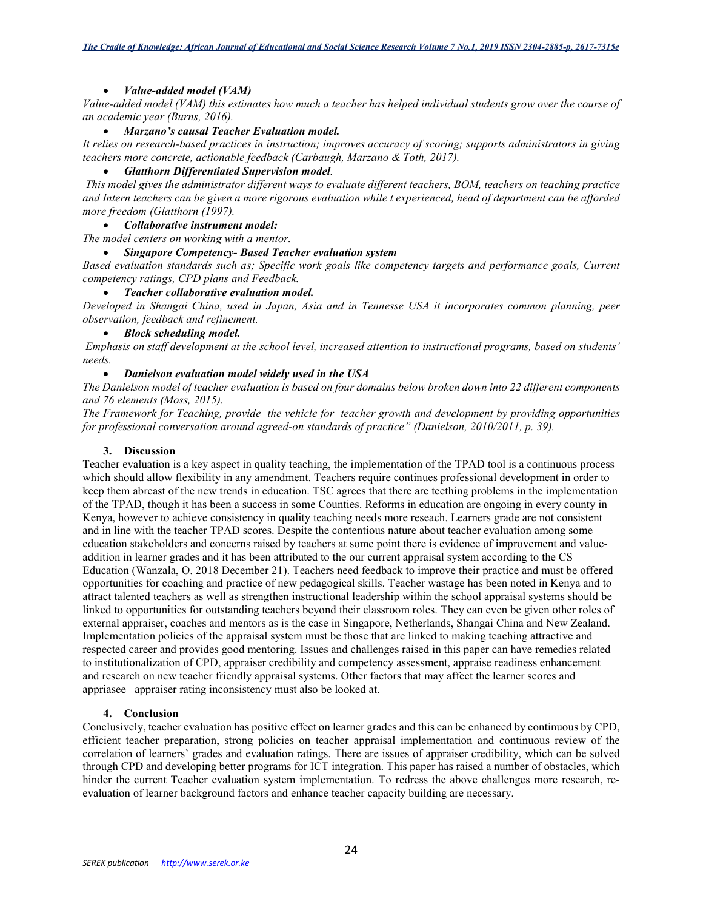### • *Value-added model (VAM)*

Value-added model (VAM) this estimates how much a teacher has helped individual students grow over the course of *an academic year (Burns, 2016).* 

### • *Marzano's causal Teacher Evaluation model.*

*It relies on research-based practices in instruction; improves accuracy of scoring; supports administrators in giving teachers more concrete, actionable feedback (Carbaugh, Marzano & Toth, 2017).* 

### • *Glatthorn Differentiated Supervision model.*

 *This model gives the administrator different ways to evaluate different teachers, BOM, teachers on teaching practice and Intern teachers can be given a more rigorous evaluation while t experienced, head of department can be afforded more freedom (Glatthorn (1997).* 

#### • *Collaborative instrument model:*

*The model centers on working with a mentor.* 

#### • *Singapore Competency- Based Teacher evaluation system*

*Based evaluation standards such as; Specific work goals like competency targets and performance goals, Current competency ratings, CPD plans and Feedback.* 

### • *Teacher collaborative evaluation model.*

*Developed in Shangai China, used in Japan, Asia and in Tennesse USA it incorporates common planning, peer observation, feedback and refinement.* 

#### • *Block scheduling model.*

 *Emphasis on staff development at the school level, increased attention to instructional programs, based on students' needs.* 

### • *Danielson evaluation model widely used in the USA*

*The Danielson model of teacher evaluation is based on four domains below broken down into 22 different components and 76 elements (Moss, 2015).* 

*The Framework for Teaching, provide the vehicle for teacher growth and development by providing opportunities for professional conversation around agreed-on standards of practice" (Danielson, 2010/2011, p. 39).* 

### **3. Discussion**

Teacher evaluation is a key aspect in quality teaching, the implementation of the TPAD tool is a continuous process which should allow flexibility in any amendment. Teachers require continues professional development in order to keep them abreast of the new trends in education. TSC agrees that there are teething problems in the implementation of the TPAD, though it has been a success in some Counties. Reforms in education are ongoing in every county in Kenya, however to achieve consistency in quality teaching needs more reseach. Learners grade are not consistent and in line with the teacher TPAD scores. Despite the contentious nature about teacher evaluation among some education stakeholders and concerns raised by teachers at some point there is evidence of improvement and valueaddition in learner grades and it has been attributed to the our current appraisal system according to the CS Education (Wanzala, O. 2018 December 21). Teachers need feedback to improve their practice and must be offered opportunities for coaching and practice of new pedagogical skills. Teacher wastage has been noted in Kenya and to attract talented teachers as well as strengthen instructional leadership within the school appraisal systems should be linked to opportunities for outstanding teachers beyond their classroom roles. They can even be given other roles of external appraiser, coaches and mentors as is the case in Singapore, Netherlands, Shangai China and New Zealand. Implementation policies of the appraisal system must be those that are linked to making teaching attractive and respected career and provides good mentoring. Issues and challenges raised in this paper can have remedies related to institutionalization of CPD, appraiser credibility and competency assessment, appraise readiness enhancement and research on new teacher friendly appraisal systems. Other factors that may affect the learner scores and appriasee –appraiser rating inconsistency must also be looked at.

### **4. Conclusion**

Conclusively, teacher evaluation has positive effect on learner grades and this can be enhanced by continuous by CPD, efficient teacher preparation, strong policies on teacher appraisal implementation and continuous review of the correlation of learners' grades and evaluation ratings. There are issues of appraiser credibility, which can be solved through CPD and developing better programs for ICT integration. This paper has raised a number of obstacles, which hinder the current Teacher evaluation system implementation. To redress the above challenges more research, reevaluation of learner background factors and enhance teacher capacity building are necessary.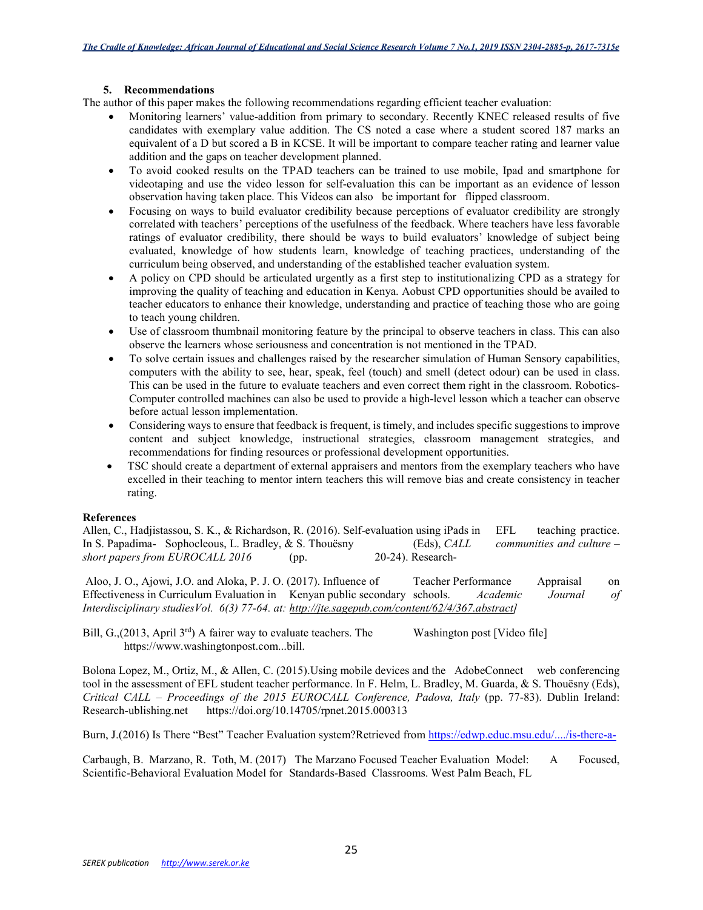### **5. Recommendations**

The author of this paper makes the following recommendations regarding efficient teacher evaluation:

- Monitoring learners' value-addition from primary to secondary. Recently KNEC released results of five candidates with exemplary value addition. The CS noted a case where a student scored 187 marks an equivalent of a D but scored a B in KCSE. It will be important to compare teacher rating and learner value addition and the gaps on teacher development planned.
- To avoid cooked results on the TPAD teachers can be trained to use mobile, Ipad and smartphone for videotaping and use the video lesson for self-evaluation this can be important as an evidence of lesson observation having taken place. This Videos can also be important for flipped classroom.
- Focusing on ways to build evaluator credibility because perceptions of evaluator credibility are strongly correlated with teachers' perceptions of the usefulness of the feedback. Where teachers have less favorable ratings of evaluator credibility, there should be ways to build evaluators' knowledge of subject being evaluated, knowledge of how students learn, knowledge of teaching practices, understanding of the curriculum being observed, and understanding of the established teacher evaluation system.
- A policy on CPD should be articulated urgently as a first step to institutionalizing CPD as a strategy for improving the quality of teaching and education in Kenya. Aobust CPD opportunities should be availed to teacher educators to enhance their knowledge, understanding and practice of teaching those who are going to teach young children.
- Use of classroom thumbnail monitoring feature by the principal to observe teachers in class. This can also observe the learners whose seriousness and concentration is not mentioned in the TPAD.
- To solve certain issues and challenges raised by the researcher simulation of Human Sensory capabilities, computers with the ability to see, hear, speak, feel (touch) and smell (detect odour) can be used in class. This can be used in the future to evaluate teachers and even correct them right in the classroom. Robotics-Computer controlled machines can also be used to provide a high-level lesson which a teacher can observe before actual lesson implementation.
- Considering ways to ensure that feedback is frequent, is timely, and includes specific suggestions to improve content and subject knowledge, instructional strategies, classroom management strategies, and recommendations for finding resources or professional development opportunities.
- TSC should create a department of external appraisers and mentors from the exemplary teachers who have excelled in their teaching to mentor intern teachers this will remove bias and create consistency in teacher rating.

# **References**

Allen, C., Hadjistassou, S. K., & Richardson, R. (2016). Self-evaluation using iPads in EFL teaching practice.<br>In S. Papadima- Sophocleous, L. Bradley, & S. Thouësny (Eds), CALL communities and culture – In S. Papadima- Sophocleous, L. Bradley, & S. Thouësny (Eds), *CALL short papers from EUROCALL 2016* (pp. 20-24). Research-

 Aloo, J. O., Ajowi, J.O. and Aloka, P. J. O. (2017). Influence of Teacher Performance Appraisal on Effectiveness in Curriculum Evaluation in Kenyan public secondary schools. *Academic Journal of Interdisciplinary studiesVol. 6(3) 77-64. at: http://jte.sagepub.com/content/62/4/367.abstract]*

Bill, G.,(2013, April 3<sup>rd</sup>) A fairer way to evaluate teachers. The Washington post [Video file] https://www.washingtonpost.com...bill.

Bolona Lopez, M., Ortiz, M., & Allen, C. (2015).Using mobile devices and the AdobeConnect web conferencing tool in the assessment of EFL student teacher performance. In F. Helm, L. Bradley, M. Guarda, & S. Thouësny (Eds), *Critical CALL – Proceedings of the 2015 EUROCALL Conference, Padova, Italy* (pp. 77-83). Dublin Ireland: Research-ublishing.net https://doi.org/10.14705/rpnet.2015.000313

Burn, J.(2016) Is There "Best" Teacher Evaluation system?Retrieved from https://edwp.educ.msu.edu/..../is-there-a-

Carbaugh, B. Marzano, R. Toth, M. (2017) The Marzano Focused Teacher Evaluation Model: A Focused, Scientific-Behavioral Evaluation Model for Standards-Based Classrooms. West Palm Beach, FL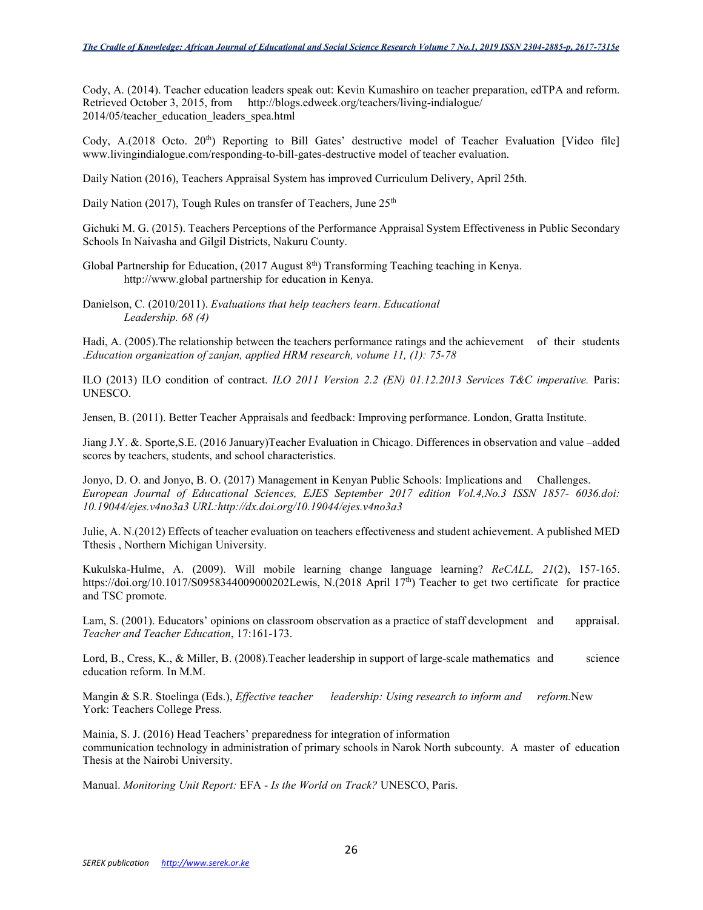Cody, A. (2014). Teacher education leaders speak out: Kevin Kumashiro on teacher preparation, edTPA and reform. Retrieved October 3, 2015, from http://blogs.edweek.org/teachers/living-indialogue/ 2014/05/teacher\_education\_leaders\_spea.html

Cody, A.(2018 Octo. 20<sup>th</sup>) Reporting to Bill Gates' destructive model of Teacher Evaluation [Video file] www.livingindialogue.com/responding-to-bill-gates-destructive model of teacher evaluation.

Daily Nation (2016), Teachers Appraisal System has improved Curriculum Delivery, April 25th.

Daily Nation (2017), Tough Rules on transfer of Teachers, June 25<sup>th</sup>

Gichuki M. G. (2015). Teachers Perceptions of the Performance Appraisal System Effectiveness in Public Secondary Schools In Naivasha and Gilgil Districts, Nakuru County.

Global Partnership for Education, (2017 August 8<sup>th</sup>) Transforming Teaching teaching in Kenya. http://www.global partnership for education in Kenya.

Danielson, C. (2010/2011). *Evaluations that help teachers learn*. *Educational Leadership. 68 (4)* 

Hadi, A. (2005).The relationship between the teachers performance ratings and the achievement of their students .*Education organization of zanjan, applied HRM research, volume 11, (1): 75-78* 

ILO (2013) ILO condition of contract. *ILO 2011 Version 2.2 (EN) 01.12.2013 Services T&C imperative.* Paris: UNESCO.

Jensen, B. (2011). Better Teacher Appraisals and feedback: Improving performance. London, Gratta Institute.

Jiang J.Y. &. Sporte,S.E. (2016 January)Teacher Evaluation in Chicago. Differences in observation and value –added scores by teachers, students, and school characteristics.

Jonyo, D. O. and Jonyo, B. O. (2017) Management in Kenyan Public Schools: Implications and Challenges. *European Journal of Educational Sciences, EJES September 2017 edition Vol.4,No.3 ISSN 1857- 6036.doi: 10.19044/ejes.v4no3a3 URL:http://dx.doi.org/10.19044/ejes.v4no3a3* 

Julie, A. N.(2012) Effects of teacher evaluation on teachers effectiveness and student achievement. A published MED Tthesis , Northern Michigan University.

Kukulska-Hulme, A. (2009). Will mobile learning change language learning? *ReCALL, 21*(2), 157-165. https://doi.org/10.1017/S0958344009000202Lewis, N.(2018 April 17<sup>th</sup>) Teacher to get two certificate for practice and TSC promote.

Lam, S. (2001). Educators' opinions on classroom observation as a practice of staff development and appraisal. *Teacher and Teacher Education*, 17:161-173.

Lord, B., Cress, K., & Miller, B. (2008). Teacher leadership in support of large-scale mathematics and science education reform. In M.M.

Mangin & S.R. Stoelinga (Eds.), *Effective teacher leadership: Using research to inform and reform.*New York: Teachers College Press.

Mainia, S. J. (2016) Head Teachers' preparedness for integration of information communication technology in administration of primary schools in Narok North subcounty. A master of education Thesis at the Nairobi University.

Manual. *Monitoring Unit Report:* EFA - *Is the World on Track?* UNESCO, Paris.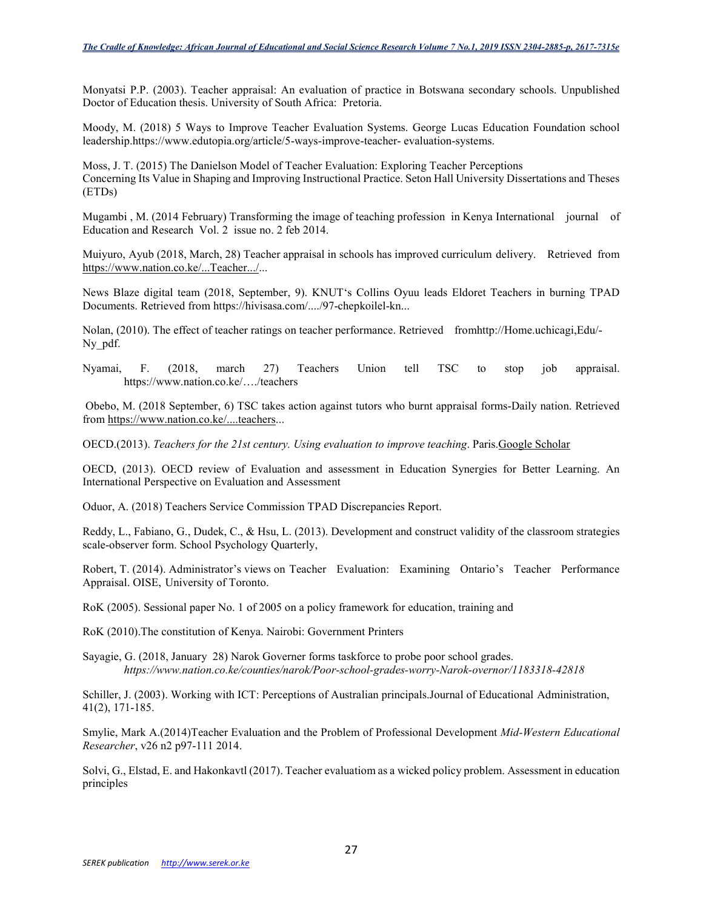Monyatsi P.P. (2003). Teacher appraisal: An evaluation of practice in Botswana secondary schools. Unpublished Doctor of Education thesis. University of South Africa: Pretoria.

Moody, M. (2018) 5 Ways to Improve Teacher Evaluation Systems. George Lucas Education Foundation school leadership.https://www.edutopia.org/article/5-ways-improve-teacher- evaluation-systems.

Moss, J. T. (2015) The Danielson Model of Teacher Evaluation: Exploring Teacher Perceptions Concerning Its Value in Shaping and Improving Instructional Practice. Seton Hall University Dissertations and Theses (ETDs)

Mugambi , M. (2014 February) Transforming the image of teaching profession in Kenya International journal of Education and Research Vol. 2 issue no. 2 feb 2014.

Muiyuro, Ayub (2018, March, 28) Teacher appraisal in schools has improved curriculum delivery. Retrieved from https://www.nation.co.ke/...Teacher.../...

News Blaze digital team (2018, September, 9). KNUT's Collins Oyuu leads Eldoret Teachers in burning TPAD Documents. Retrieved from https://hivisasa.com/..../97-chepkoilel-kn...

Nolan, (2010). The effect of teacher ratings on teacher performance. Retrieved fromhttp://Home.uchicagi,Edu/- Ny\_pdf.

Nyamai, F. (2018, march 27) Teachers Union tell TSC to stop job appraisal. https://www.nation.co.ke/…./teachers

 Obebo, M. (2018 September, 6) TSC takes action against tutors who burnt appraisal forms-Daily nation. Retrieved from https://www.nation.co.ke/....teachers...

OECD.(2013). *Teachers for the 21st century. Using evaluation to improve teaching*. Paris.Google Scholar

OECD, (2013). OECD review of Evaluation and assessment in Education Synergies for Better Learning. An International Perspective on Evaluation and Assessment

Oduor, A. (2018) Teachers Service Commission TPAD Discrepancies Report.

Reddy, L., Fabiano, G., Dudek, C., & Hsu, L. (2013). Development and construct validity of the classroom strategies scale-observer form. School Psychology Quarterly,

Robert, T. (2014). Administrator's views on Teacher Evaluation: Examining Ontario's Teacher Performance Appraisal. OISE, University of Toronto.

RoK (2005). Sessional paper No. 1 of 2005 on a policy framework for education, training and

RoK (2010).The constitution of Kenya. Nairobi: Government Printers

Sayagie, G. (2018, January 28) Narok Governer forms taskforce to probe poor school grades. *https://www.nation.co.ke/counties/narok/Poor-school-grades-worry-Narok-overnor/1183318-42818* 

Schiller, J. (2003). Working with ICT: Perceptions of Australian principals.Journal of Educational Administration, 41(2), 171-185.

Smylie, Mark A.(2014)Teacher Evaluation and the Problem of Professional Development *Mid-Western Educational Researcher*, v26 n2 p97-111 2014.

Solvi, G., Elstad, E. and Hakonkavtl (2017). Teacher evaluatiom as a wicked policy problem. Assessment in education principles